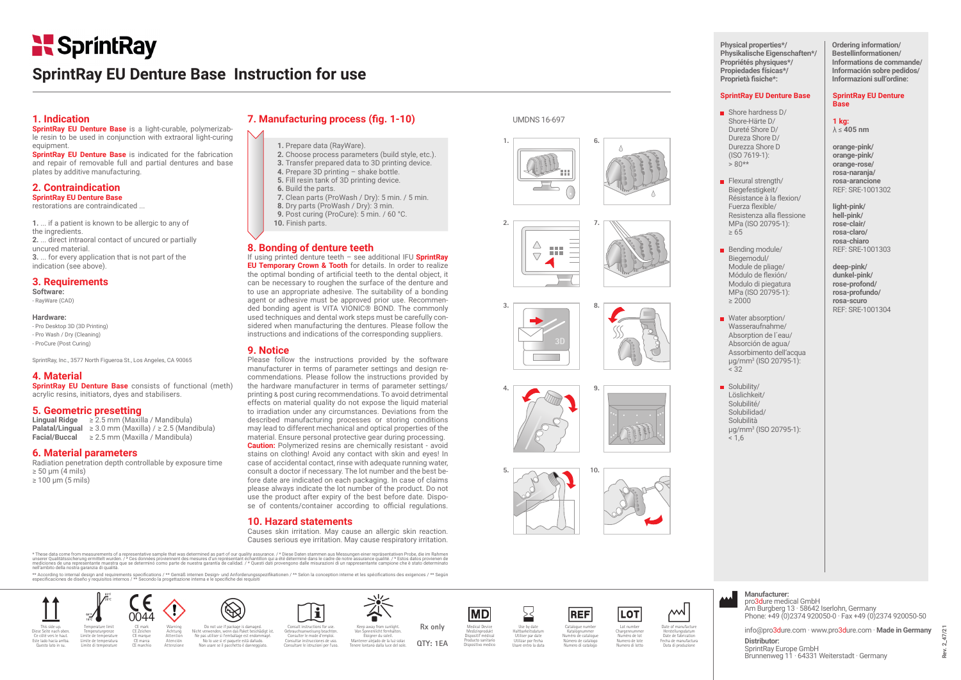# SprintRay

## **SprintRay EU Denture Base Instruction for use**

### **1. Indication**

**SprintRay EU Denture Base** is a light-curable, polymerizable resin to be used in conjunction with extraoral light-curing equipment.

**SprintRay EU Denture Base** is indicated for the fabrication and repair of removable full and partial dentures and base plates by additive manufacturing.

#### **2. Contraindication SprintRay EU Denture Base**  restorations are contraindicated ...

**1.** ... if a patient is known to be allergic to any of the ingredients. **2.** ... direct intraoral contact of uncured or partially uncured material. **3.** ... for every application that is not part of the

### indication (see above). **3. Requirements**

**Software:** 

- RayWare (CAD)

#### **Hardware:**  - Pro Desktop 3D (3D Printing) - Pro Wash / Dry (Cleaning) - ProCure (Post Curing)

SprintRay, Inc., 3577 North Figueroa St., Los Angeles, CA 90065

### **4. Material**

**SprintRay EU Denture Base** consists of functional (meth) acrylic resins, initiators, dyes and stabilisers.

### **5. Geometric presetting**

**Lingual Ridge** ≥ 2.5 mm (Maxilla / Mandibula) **Palatal/Lingual** ≥ 3.0 mm (Maxilla) / ≥ 2.5 (Mandibula) **Facial/Buccal** ≥ 2.5 mm (Maxilla / Mandibula)

### **6. Material parameters**

Radiation penetration depth controllable by exposure time  $\geq 50$  um (4 mils) ≥ 100 μm (5 mils)

### **7. Manufacturing process (fig. 1-10)**

### **1.** Prepare data (RayWare).

 **2.** Choose process parameters (build style, etc.). **3.** Transfer prepared data to 3D printing device. **4.** Prepare 3D printing – shake bottle. **5.** Fill resin tank of 3D printing device.

- **6.** Build the parts.
- **7.** Clean parts (ProWash / Dry): 5 min. / 5 min. **8.** Dry parts (ProWash / Dry): 3 min. **9.** Post curing (ProCure): 5 min. / 60 °C. **10.** Finish parts.

### **8. Bonding of denture teeth**

If using printed denture teeth – see additional IFU **SprintRay EU Temporary Crown & Tooth** for details. In order to realize the optimal bonding of artificial teeth to the dental object, it can be necessary to roughen the surface of the denture and to use an appropriate adhesive. The suitability of a bonding agent or adhesive must be approved prior use. Recommended bonding agent is VITA VIONIC® BOND. The commonly used techniques and dental work steps must be carefully considered when manufacturing the dentures. Please follow the instructions and indications of the corresponding suppliers.

### **9. Notice**

Please follow the instructions provided by the software manufacturer in terms of parameter settings and design recommendations. Please follow the instructions provided by the hardware manufacturer in terms of parameter settings/ printing & post curing recommendations. To avoid detrimental effects on material quality do not expose the liquid material to irradiation under any circumstances. Deviations from the described manufacturing processes or storing conditions may lead to different mechanical and optical properties of the material. Ensure personal protective gear during processing. **Caution:** Polymerized resins are chemically resistant - avoid stains on clothing! Avoid any contact with skin and eyes! In case of accidental contact, rinse with adequate running water, consult a doctor if necessary. The lot number and the best before date are indicated on each packaging. In case of claims please always indicate the lot number of the product. Do not use the product after expiry of the best before date. Dispose of contents/container according to official regulations.

### **10. Hazard statements**

Causes skin irritation. May cause an allergic skin reaction. Causes serious eye irritation. May cause respiratory irritation.

\* These data come from measurements of a representative sample that was determined as part of our quality assurance. / \* Diese Daten stammen aus Messungen einer repräsentativen Probe, die im Rahmen<br>unserer Qualitätsicheumg nell'ambito della nostra garanzia di qualità.

we according to internal design and requirements specifications / \*\* Gemäß internen Design- und Anforderungsspezifikationen / \*\* Selon la conception interne et les spécifications des exigences / \*\* Según \*\* Según and requi especificaciones de diseño y requisitos internos / \*\* Secondo la progettazione interna e le specifiche dei requisitione internos / \*\* Secondo la progettazione interna e le specifiche dei requisitione internos / \*\* Secondo



### UMDNS 16-697











**Physical properties\*/ Physikalische Eigenschaften\*/ Propriétés physiques\*/ Propiedades físicas\*/** Proprietà fisiche\*:

**Ordering information/ Bestellinformationen/ Informations de commande/ Información sobre pedidos/ Informazioni sull'ordine:**

**SprintRay EU Denture** 

### **SprintRay EU Denture Base**

#### Shore hardness D/ Shore-Härte D/ Dureté Shore D/ Dureza Shore D/ Durezza Shore D

 (ISO 7619-1):  $> 80**$ 

Flexural strength/ Biegefestigkeit/ Résistance à la flexion/ Fuerza flexible/ Resistenza alla flessione MPa (ISO 20795-1):

Bending module/ Biegemodul/ Module de pliage/ Módulo de flexión/ Modulo di piegatura MPa (ISO 20795-1): ≥ 2000

≥ 65

**orange-pink/ orange-pink/ orange-rose/ rosa-naranja/ rosa-arancione** REF: SRE-1001302

**light-pink/ hell-pink/**

**Base 1 kg:**  $\lambda \leq 405$  nm

#### **rose-clair/ rosa-claro/ rosa-chiaro** REF: SRE-1001303

**deep-pink/ dunkel-pink/ rose-profond/ rosa-profundo/ rosa-scuro**  REF: SRE-1001304

Water absorption/ Wasseraufnahme/ Absorption de l´eau/ Absorción de agua/ Assorbimento dell'acqua µg/mm3 (ISO 20795-1): < 32

Solubility/ Löslichkeit/ Solubilité/ Solubilidad/ Solubilità µg/mm3 (ISO 20795-1):  $< 1.6$ 

| لممم | Manufactur<br>$n$ ng $2$ dure m |
|------|---------------------------------|

### **Manufacturer:** pro3dure medical GmbH

Am Burgberg 13 · 58642 Iserlohn, Germany Phone: +49 (0)2374 920050-0 · Fax +49 (0)2374 920050-50

info@pro3dure.com · www.pro3dure.com · **Made in Germany Distributor:**

SprintRay Europe GmbH Brunnenweg 11 · 64331 Weiterstadt · Germany